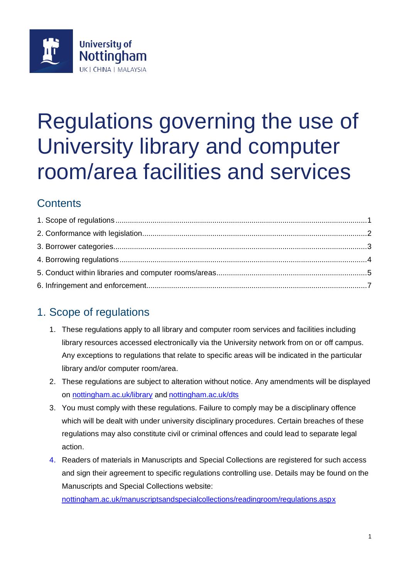

# Regulations governing the use of University library and computer room/area facilities and services

# **Contents**

# <span id="page-0-0"></span>1. Scope of regulations

- 1. These regulations apply to all library and computer room services and facilities including library resources accessed electronically via the University network from on or off campus. Any exceptions to regulations that relate to specific areas will be indicated in the particular library and/or computer room/area.
- 2. These regulations are subject to alteration without notice. Any amendments will be displayed on [nottingham.ac.uk/library](http://www.nottingham.ac.uk/library) and [nottingham.ac.uk/dts](https://www.nottingham.ac.uk/dts/)
- 3. You must comply with these regulations. Failure to comply may be a disciplinary offence which will be dealt with under university disciplinary procedures. Certain breaches of these regulations may also constitute civil or criminal offences and could lead to separate legal action.
- 4. Readers of materials in Manuscripts and Special Collections are registered for such access and sign their agreement to specific regulations controlling use. Details may be found on the Manuscripts and Special Collections website:

[nottingham.ac.uk/manuscriptsandspecialcollections/readingroom/regulations.aspx](http://www.nottingham.ac.uk/manuscriptsandspecialcollections/readingroom/regulations.asp)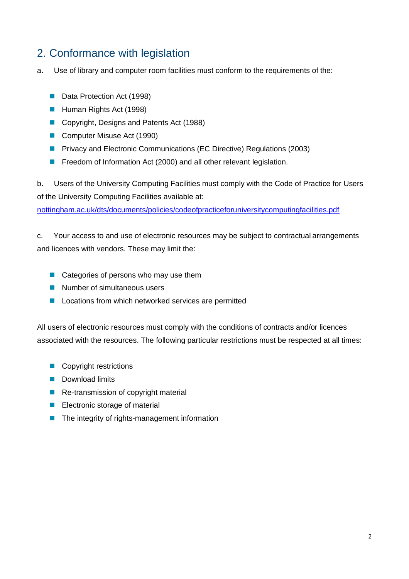## <span id="page-1-0"></span>2. Conformance with legislation

a. Use of library and computer room facilities must conform to the requirements of the:

- Data Protection Act (1998)
- Human Rights Act (1998)
- Copyright, Designs and Patents Act (1988)
- Computer Misuse Act (1990)
- Privacy and Electronic Communications (EC Directive) Regulations (2003)
- Freedom of Information Act (2000) and all other relevant legislation.

b. Users of the University Computing Facilities must comply with the Code of Practice for Users of the University Computing Facilities available at:

[nottingham.ac.uk/dts/documents/policies/codeofpracticeforuniversitycomputingfacilities.pdf](https://www.nottingham.ac.uk/dts/documents/policies/codeofpracticeforuniversitycomputingfacilities.pdf)

c. Your access to and use of electronic resources may be subject to contractual arrangements and licences with vendors. These may limit the:

- Categories of persons who may use them
- Number of simultaneous users
- Locations from which networked services are permitted

All users of electronic resources must comply with the conditions of contracts and/or licences associated with the resources. The following particular restrictions must be respected at all times:

- Copyright restrictions
- Download limits
- Re-transmission of copyright material
- Electronic storage of material
- The integrity of rights-management information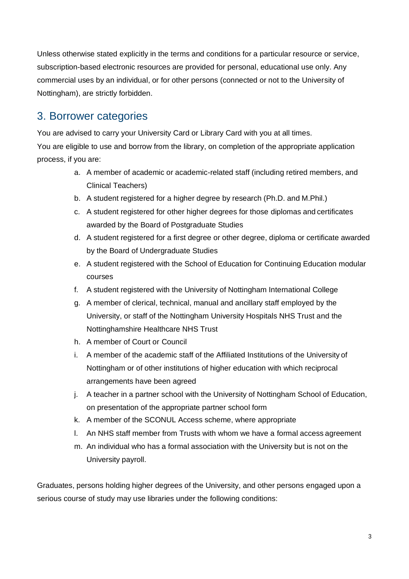Unless otherwise stated explicitly in the terms and conditions for a particular resource or service, subscription-based electronic resources are provided for personal, educational use only. Any commercial uses by an individual, or for other persons (connected or not to the University of Nottingham), are strictly forbidden.

#### <span id="page-2-0"></span>3. Borrower categories

You are advised to carry your University Card or Library Card with you at all times. You are eligible to use and borrow from the library, on completion of the appropriate application process, if you are:

- a. A member of academic or academic-related staff (including retired members, and Clinical Teachers)
- b. A student registered for a higher degree by research (Ph.D. and M.Phil.)
- c. A student registered for other higher degrees for those diplomas and certificates awarded by the Board of Postgraduate Studies
- d. A student registered for a first degree or other degree, diploma or certificate awarded by the Board of Undergraduate Studies
- e. A student registered with the School of Education for Continuing Education modular courses
- f. A student registered with the University of Nottingham International College
- g. A member of clerical, technical, manual and ancillary staff employed by the University, or staff of the Nottingham University Hospitals NHS Trust and the Nottinghamshire Healthcare NHS Trust
- h. A member of Court or Council
- i. A member of the academic staff of the Affiliated Institutions of the University of Nottingham or of other institutions of higher education with which reciprocal arrangements have been agreed
- j. A teacher in a partner school with the University of Nottingham School of Education, on presentation of the appropriate partner school form
- k. A member of the SCONUL Access scheme, where appropriate
- l. An NHS staff member from Trusts with whom we have a formal access agreement
- m. An individual who has a formal association with the University but is not on the University payroll.

Graduates, persons holding higher degrees of the University, and other persons engaged upon a serious course of study may use libraries under the following conditions: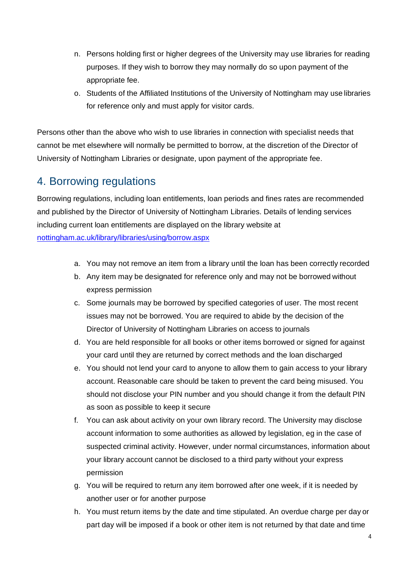- n. Persons holding first or higher degrees of the University may use libraries for reading purposes. If they wish to borrow they may normally do so upon payment of the appropriate fee.
- o. Students of the Affiliated Institutions of the University of Nottingham may use libraries for reference only and must apply for visitor cards.

Persons other than the above who wish to use libraries in connection with specialist needs that cannot be met elsewhere will normally be permitted to borrow, at the discretion of the Director of University of Nottingham Libraries or designate, upon payment of the appropriate fee.

## <span id="page-3-0"></span>4. Borrowing regulations

Borrowing regulations, including loan entitlements, loan periods and fines rates are recommended and published by the Director of University of Nottingham Libraries. Details of lending services including current loan entitlements are displayed on the library website at [nottingham.ac.uk/library/libraries/using/borrow.aspx](http://www.nottingham.ac.uk/library/libraries/using/borrow.aspx)

- a. You may not remove an item from a library until the loan has been correctly recorded
- b. Any item may be designated for reference only and may not be borrowed without express permission
- c. Some journals may be borrowed by specified categories of user. The most recent issues may not be borrowed. You are required to abide by the decision of the Director of University of Nottingham Libraries on access to journals
- d. You are held responsible for all books or other items borrowed or signed for against your card until they are returned by correct methods and the loan discharged
- e. You should not lend your card to anyone to allow them to gain access to your library account. Reasonable care should be taken to prevent the card being misused. You should not disclose your PIN number and you should change it from the default PIN as soon as possible to keep it secure
- f. You can ask about activity on your own library record. The University may disclose account information to some authorities as allowed by legislation, eg in the case of suspected criminal activity. However, under normal circumstances, information about your library account cannot be disclosed to a third party without your express permission
- g. You will be required to return any item borrowed after one week, if it is needed by another user or for another purpose
- h. You must return items by the date and time stipulated. An overdue charge per day or part day will be imposed if a book or other item is not returned by that date and time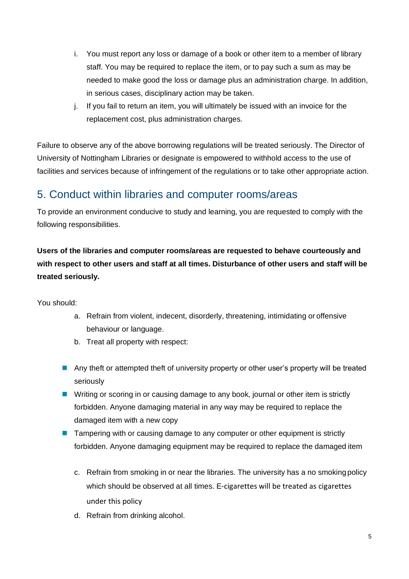- i. You must report any loss or damage of a book or other item to a member of library staff. You may be required to replace the item, or to pay such a sum as may be needed to make good the loss or damage plus an administration charge. In addition, in serious cases, disciplinary action may be taken.
- j. If you fail to return an item, you will ultimately be issued with an invoice for the replacement cost, plus administration charges.

Failure to observe any of the above borrowing regulations will be treated seriously. The Director of University of Nottingham Libraries or designate is empowered to withhold access to the use of facilities and services because of infringement of the regulations or to take other appropriate action.

#### <span id="page-4-0"></span>5. Conduct within libraries and computer rooms/areas

To provide an environment conducive to study and learning, you are requested to comply with the following responsibilities.

#### **Users of the libraries and computer rooms/areas are requested to behave courteously and with respect to other users and staff at all times. Disturbance of other users and staff will be treated seriously.**

You should:

- a. Refrain from violent, indecent, disorderly, threatening, intimidating or offensive behaviour or language.
- b. Treat all property with respect:
- Any theft or attempted theft of university property or other user's property will be treated seriously
- Writing or scoring in or causing damage to any book, journal or other item is strictly forbidden. Anyone damaging material in any way may be required to replace the damaged item with a new copy
- Tampering with or causing damage to any computer or other equipment is strictly forbidden. Anyone damaging equipment may be required to replace the damaged item
	- c. Refrain from smoking in or near the libraries. The university has a no smoking policy which should be observed at all times. E-cigarettes will be treated as cigarettes under this policy
	- d. Refrain from drinking alcohol.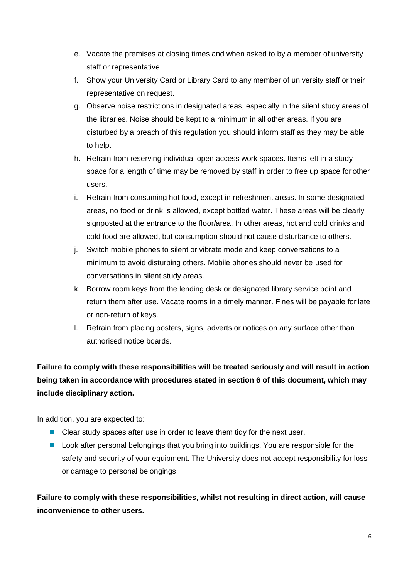- e. Vacate the premises at closing times and when asked to by a member of university staff or representative.
- f. Show your University Card or Library Card to any member of university staff or their representative on request.
- g. Observe noise restrictions in designated areas, especially in the silent study areas of the libraries. Noise should be kept to a minimum in all other areas. If you are disturbed by a breach of this regulation you should inform staff as they may be able to help.
- h. Refrain from reserving individual open access work spaces. Items left in a study space for a length of time may be removed by staff in order to free up space for other users.
- i. Refrain from consuming hot food, except in refreshment areas. In some designated areas, no food or drink is allowed, except bottled water. These areas will be clearly signposted at the entrance to the floor/area. In other areas, hot and cold drinks and cold food are allowed, but consumption should not cause disturbance to others.
- j. Switch mobile phones to silent or vibrate mode and keep conversations to a minimum to avoid disturbing others. Mobile phones should never be used for conversations in silent study areas.
- k. Borrow room keys from the lending desk or designated library service point and return them after use. Vacate rooms in a timely manner. Fines will be payable for late or non-return of keys.
- l. Refrain from placing posters, signs, adverts or notices on any surface other than authorised notice boards.

**Failure to comply with these responsibilities will be treated seriously and will result in action being taken in accordance with procedures stated in section 6 of this document, which may include disciplinary action.**

In addition, you are expected to:

- Clear study spaces after use in order to leave them tidy for the next user.
- Look after personal belongings that you bring into buildings. You are responsible for the safety and security of your equipment. The University does not accept responsibility for loss or damage to personal belongings.

**Failure to comply with these responsibilities, whilst not resulting in direct action, will cause inconvenience to other users.**